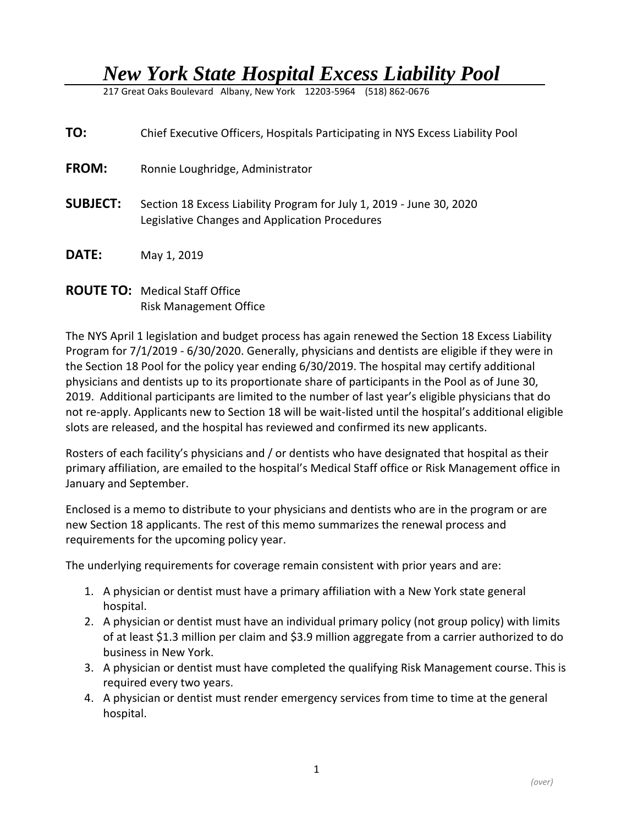## *New York State Hospital Excess Liability Pool*

217 Great Oaks Boulevard Albany, New York 12203-5964 (518) 862-0676

| TO:             | Chief Executive Officers, Hospitals Participating in NYS Excess Liability Pool                                         |
|-----------------|------------------------------------------------------------------------------------------------------------------------|
| <b>FROM:</b>    | Ronnie Loughridge, Administrator                                                                                       |
| <b>SUBJECT:</b> | Section 18 Excess Liability Program for July 1, 2019 - June 30, 2020<br>Legislative Changes and Application Procedures |
| <b>DATE:</b>    | May 1, 2019                                                                                                            |

## **ROUTE TO:** Medical Staff Office Risk Management Office

The NYS April 1 legislation and budget process has again renewed the Section 18 Excess Liability Program for 7/1/2019 - 6/30/2020. Generally, physicians and dentists are eligible if they were in the Section 18 Pool for the policy year ending 6/30/2019. The hospital may certify additional physicians and dentists up to its proportionate share of participants in the Pool as of June 30, 2019. Additional participants are limited to the number of last year's eligible physicians that do not re-apply. Applicants new to Section 18 will be wait-listed until the hospital's additional eligible slots are released, and the hospital has reviewed and confirmed its new applicants.

Rosters of each facility's physicians and / or dentists who have designated that hospital as their primary affiliation, are emailed to the hospital's Medical Staff office or Risk Management office in January and September.

Enclosed is a memo to distribute to your physicians and dentists who are in the program or are new Section 18 applicants. The rest of this memo summarizes the renewal process and requirements for the upcoming policy year.

The underlying requirements for coverage remain consistent with prior years and are:

- 1. A physician or dentist must have a primary affiliation with a New York state general hospital.
- 2. A physician or dentist must have an individual primary policy (not group policy) with limits of at least \$1.3 million per claim and \$3.9 million aggregate from a carrier authorized to do business in New York.
- 3. A physician or dentist must have completed the qualifying Risk Management course. This is required every two years.
- 4. A physician or dentist must render emergency services from time to time at the general hospital.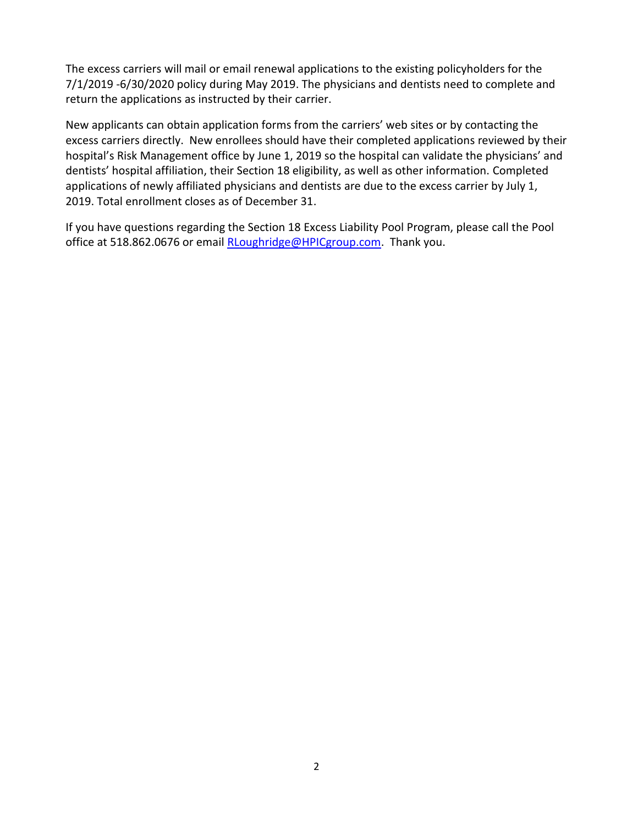The excess carriers will mail or email renewal applications to the existing policyholders for the 7/1/2019 -6/30/2020 policy during May 2019. The physicians and dentists need to complete and return the applications as instructed by their carrier.

New applicants can obtain application forms from the carriers' web sites or by contacting the excess carriers directly. New enrollees should have their completed applications reviewed by their hospital's Risk Management office by June 1, 2019 so the hospital can validate the physicians' and dentists' hospital affiliation, their Section 18 eligibility, as well as other information. Completed applications of newly affiliated physicians and dentists are due to the excess carrier by July 1, 2019. Total enrollment closes as of December 31.

If you have questions regarding the Section 18 Excess Liability Pool Program, please call the Pool office at 518.862.0676 or email [RLoughridge@HPICgroup.com.](file://///HPIC-DC1/Vol1/Users/rloughri/Pool%20Renewal%20Letters%20&%20Attachments-CEO-CMOltr/2018-2019/RLoughridge@HPICgroup.com) Thank you.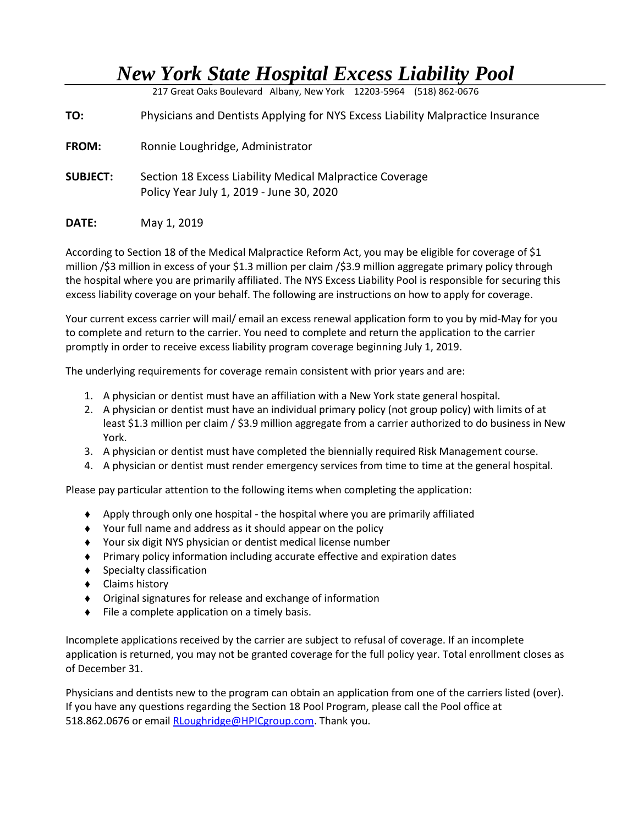## *New York State Hospital Excess Liability Pool*

217 Great Oaks Boulevard Albany, New York 12203-5964 (518) 862-0676

**TO:** Physicians and Dentists Applying for NYS Excess Liability Malpractice Insurance

- **FROM:** Ronnie Loughridge, Administrator
- **SUBJECT:** Section 18 Excess Liability Medical Malpractice Coverage Policy Year July 1, 2019 - June 30, 2020
- **DATE:** May 1, 2019

According to Section 18 of the Medical Malpractice Reform Act, you may be eligible for coverage of \$1 million /\$3 million in excess of your \$1.3 million per claim /\$3.9 million aggregate primary policy through the hospital where you are primarily affiliated. The NYS Excess Liability Pool is responsible for securing this excess liability coverage on your behalf. The following are instructions on how to apply for coverage.

Your current excess carrier will mail/ email an excess renewal application form to you by mid-May for you to complete and return to the carrier. You need to complete and return the application to the carrier promptly in order to receive excess liability program coverage beginning July 1, 2019.

The underlying requirements for coverage remain consistent with prior years and are:

- 1. A physician or dentist must have an affiliation with a New York state general hospital.
- 2. A physician or dentist must have an individual primary policy (not group policy) with limits of at least \$1.3 million per claim / \$3.9 million aggregate from a carrier authorized to do business in New York.
- 3. A physician or dentist must have completed the biennially required Risk Management course.
- 4. A physician or dentist must render emergency services from time to time at the general hospital.

Please pay particular attention to the following items when completing the application:

- Apply through only one hospital the hospital where you are primarily affiliated
- Your full name and address as it should appear on the policy
- Your six digit NYS physician or dentist medical license number
- Primary policy information including accurate effective and expiration dates
- ◆ Specialty classification
- ◆ Claims history
- Original signatures for release and exchange of information
- $\bullet$  File a complete application on a timely basis.

Incomplete applications received by the carrier are subject to refusal of coverage. If an incomplete application is returned, you may not be granted coverage for the full policy year. Total enrollment closes as of December 31.

Physicians and dentists new to the program can obtain an application from one of the carriers listed (over). If you have any questions regarding the Section 18 Pool Program, please call the Pool office at 518.862.0676 or email [RLoughridge@HPICgroup.com.](file://///HPIC-DC1/Vol1/Users/rloughri/Pool%20Renewal%20Letters%20&%20Attachments-CEO-CMOltr/2018-2019/RLoughridge@HPICgroup.com) Thank you.